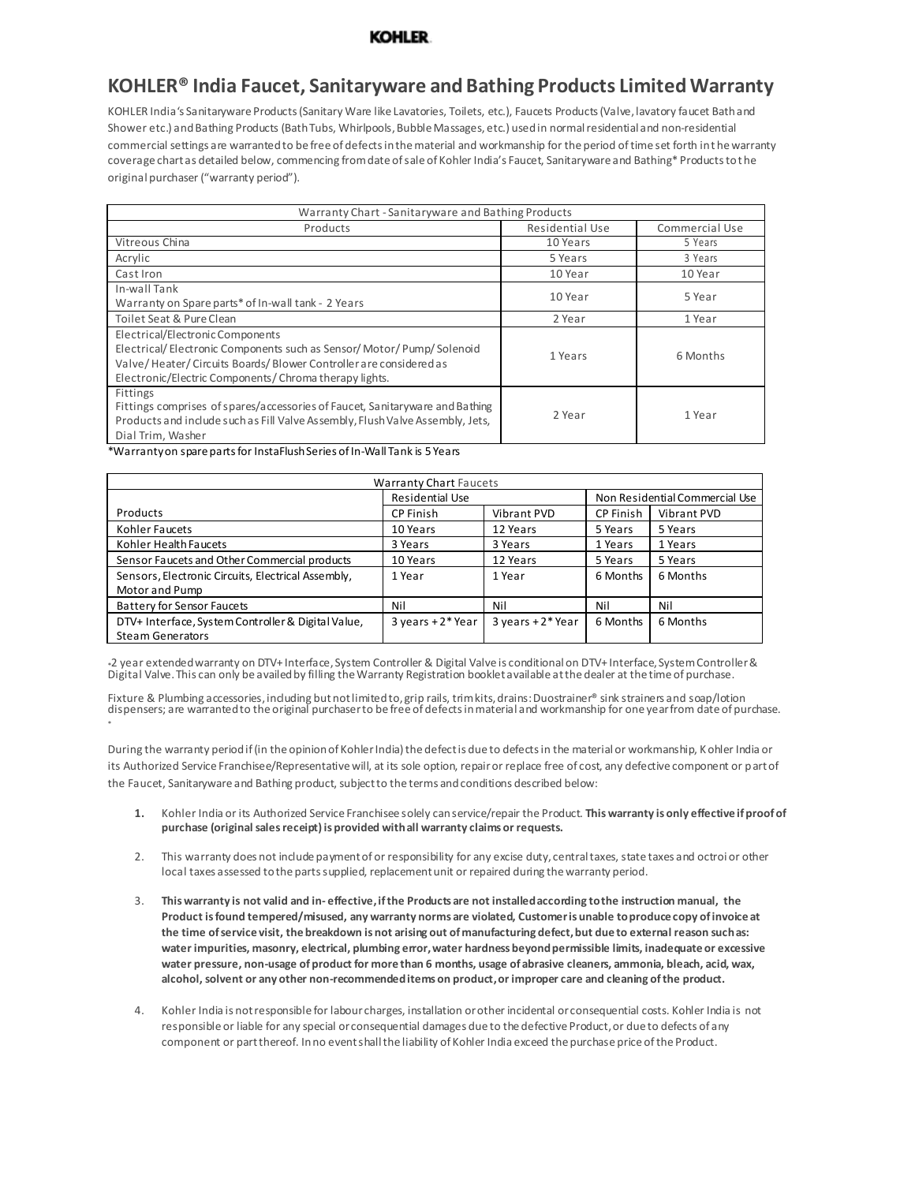## **KOHLER**

## **KOHLER® India Faucet, Sanitaryware and Bathing Products Limited Warranty**

KOHLER India's Sanitaryware Products (Sanitary Ware like Lavatories, Toilets, etc.), Faucets Products (Valve, lavatory faucet Bath and Shower etc.) and Bathing Products (Bath Tubs, Whirlpools, Bubble Massages, etc.) used in normal residential and non-residential commercial settings are warranted to be free of defects in the material and workmanship for the period of time set forth in t he warranty coverage chart as detailed below, commencing from date of sale of Kohler India's Faucet, Sanitaryware and Bathing\* Products to the original purchaser ("warranty period").

| Warranty Chart - Sanitaryware and Bathing Products                                                                                                                                                                                   |                        |                |  |  |  |
|--------------------------------------------------------------------------------------------------------------------------------------------------------------------------------------------------------------------------------------|------------------------|----------------|--|--|--|
| Products                                                                                                                                                                                                                             | <b>Residential Use</b> | Commercial Use |  |  |  |
| Vitreous China                                                                                                                                                                                                                       | 10 Years               | 5 Years        |  |  |  |
| Acrylic                                                                                                                                                                                                                              | 5 Years                | 3 Years        |  |  |  |
| Cast Iron                                                                                                                                                                                                                            | 10 Year                | 10 Year        |  |  |  |
| In-wall Tank                                                                                                                                                                                                                         | 10 Year                | 5 Year         |  |  |  |
| Warranty on Spare parts* of In-wall tank - 2 Years                                                                                                                                                                                   |                        |                |  |  |  |
| Toilet Seat & Pure Clean                                                                                                                                                                                                             | 2 Year                 | 1 Year         |  |  |  |
| Electrical/Electronic Components<br>Electrical/Electronic Components such as Sensor/Motor/Pump/Solenoid<br>Valve/Heater/Circuits Boards/Blower Controller are considered as<br>Electronic/Electric Components/Chroma therapy lights. | 1 Years                | 6 Months       |  |  |  |
| Fittings<br>Fittings comprises of spares/accessories of Faucet, Sanitaryware and Bathing<br>Products and include such as Fill Valve Assembly, Flush Valve Assembly, Jets,<br>Dial Trim, Washer                                       | 2 Year                 | 1 Year         |  |  |  |

\*Warranty on spare parts for InstaFlush Series of In-Wall Tank is 5 Years

| <b>Warranty Chart Faucets</b>                      |                                  |                      |                                |             |  |
|----------------------------------------------------|----------------------------------|----------------------|--------------------------------|-------------|--|
|                                                    | <b>Residential Use</b>           |                      | Non Residential Commercial Use |             |  |
| Products                                           | CP Finish                        | Vibrant PVD          | CP Finish                      | Vibrant PVD |  |
| Kohler Faucets                                     | 10 Years                         | 12 Years             | 5 Years                        | 5 Years     |  |
| Kohler Health Faucets                              | 3 Years                          | 3 Years              | 1 Years                        | 1 Years     |  |
| Sensor Faucets and Other Commercial products       | 10 Years                         | 12 Years             | 5 Years                        | 5 Years     |  |
| Sensors, Electronic Circuits, Electrical Assembly, | 1 Year                           | 1 Year               | 6 Months                       | 6 Months    |  |
| Motor and Pump                                     |                                  |                      |                                |             |  |
| <b>Battery for Sensor Faucets</b>                  | Nil                              | Nil                  | Nil                            | Nil         |  |
| DTV+ Interface, System Controller & Digital Value, | $3$ years $+2$ <sup>*</sup> Year | $3$ years $+2*$ Year | 6 Months                       | 6 Months    |  |
| <b>Steam Generators</b>                            |                                  |                      |                                |             |  |

\*2 year extended warranty on DTV+ Interface, System Controller & Digital Valve is conditional on DTV+ Interface, System Controller & Digital Valve. This can only be availed by filling the Warranty Registration booklet available at the dealer at the time of purchase.

Fixture & Plumbing accessories, including but not limited to, grip rails, trim kits, drains: Duostrainer® sink strainers and soap/lotion dispensers; are warranted to the original purchaser to be free of defects in material and workmanship for one year from date of purchase. \*

During the warranty period if (in the opinion of Kohler India) the defect is due to defects in the material or workmanship, K ohler India or its Authorized Service Franchisee/Representative will, at its sole option, repair or replace free of cost, any defective component or part of the Faucet, Sanitaryware and Bathing product, subject to the terms and conditions described below:

- **1.** Kohler India or its Authorized Service Franchisee solely can service/repair the Product. **This warranty is only effective if proof of purchase (original sales receipt) is provided with all warranty claims or requests.**
- 2. This warranty does not include payment of or responsibility for any excise duty, central taxes, state taxes and octroi or other local taxes assessed to the parts supplied, replacement unit or repaired during the warranty period.
- 3. **This warranty is not valid and in- effective, if the Products are not installed according to the instruction manual, the Product is found tempered/misused, any warranty norms are violated, Customer is unable to produce copy of invoice at the time of service visit, the breakdown is not arising out of manufacturing defect, but due to external reason such as: water impurities, masonry, electrical, plumbing error, water hardness beyond permissible limits, inadequate or excessive water pressure, non-usage of product for more than 6 months, usage of abrasive cleaners, ammonia, bleach, acid, wax, alcohol, solvent or any other non-recommended items on product, or improper care and cleaning of the product.**
- 4. Kohler India is not responsible for labour charges, installation or other incidental or consequential costs. Kohler India is not responsible or liable for any special or consequential damages due to the defective Product, or due to defects of any component or part thereof. In no event shall the liability of Kohler India exceed the purchase price of the Product.